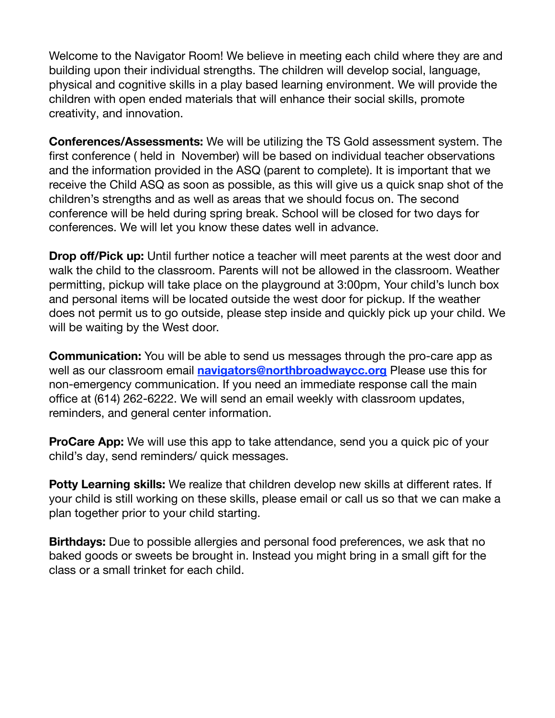Welcome to the Navigator Room! We believe in meeting each child where they are and building upon their individual strengths. The children will develop social, language, physical and cognitive skills in a play based learning environment. We will provide the children with open ended materials that will enhance their social skills, promote creativity, and innovation.

**Conferences/Assessments:** We will be utilizing the TS Gold assessment system. The first conference ( held in November) will be based on individual teacher observations and the information provided in the ASQ (parent to complete). It is important that we receive the Child ASQ as soon as possible, as this will give us a quick snap shot of the children's strengths and as well as areas that we should focus on. The second conference will be held during spring break. School will be closed for two days for conferences. We will let you know these dates well in advance.

**Drop off/Pick up:** Until further notice a teacher will meet parents at the west door and walk the child to the classroom. Parents will not be allowed in the classroom. Weather permitting, pickup will take place on the playground at 3:00pm, Your child's lunch box and personal items will be located outside the west door for pickup. If the weather does not permit us to go outside, please step inside and quickly pick up your child. We will be waiting by the West door.

**Communication:** You will be able to send us messages through the pro-care app as well as our classroom email **[navigators@northbroadwaycc.org](mailto:navigators@northbroadwaycc.org)** Please use this for non-emergency communication. If you need an immediate response call the main office at (614) 262-6222. We will send an email weekly with classroom updates, reminders, and general center information.

**ProCare App:** We will use this app to take attendance, send you a quick pic of your child's day, send reminders/ quick messages.

**Potty Learning skills:** We realize that children develop new skills at different rates. If your child is still working on these skills, please email or call us so that we can make a plan together prior to your child starting.

**Birthdays:** Due to possible allergies and personal food preferences, we ask that no baked goods or sweets be brought in. Instead you might bring in a small gift for the class or a small trinket for each child.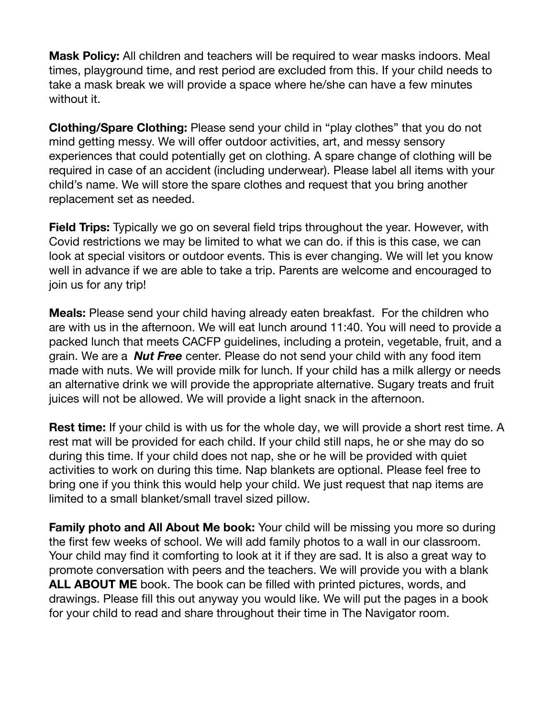**Mask Policy:** All children and teachers will be required to wear masks indoors. Meal times, playground time, and rest period are excluded from this. If your child needs to take a mask break we will provide a space where he/she can have a few minutes without it.

**Clothing/Spare Clothing:** Please send your child in "play clothes" that you do not mind getting messy. We will offer outdoor activities, art, and messy sensory experiences that could potentially get on clothing. A spare change of clothing will be required in case of an accident (including underwear). Please label all items with your child's name. We will store the spare clothes and request that you bring another replacement set as needed.

**Field Trips:** Typically we go on several field trips throughout the year. However, with Covid restrictions we may be limited to what we can do. if this is this case, we can look at special visitors or outdoor events. This is ever changing. We will let you know well in advance if we are able to take a trip. Parents are welcome and encouraged to join us for any trip!

**Meals:** Please send your child having already eaten breakfast. For the children who are with us in the afternoon. We will eat lunch around 11:40. You will need to provide a packed lunch that meets CACFP guidelines, including a protein, vegetable, fruit, and a grain. We are a *Nut Free* center. Please do not send your child with any food item made with nuts. We will provide milk for lunch. If your child has a milk allergy or needs an alternative drink we will provide the appropriate alternative. Sugary treats and fruit juices will not be allowed. We will provide a light snack in the afternoon.

**Rest time:** If your child is with us for the whole day, we will provide a short rest time. A rest mat will be provided for each child. If your child still naps, he or she may do so during this time. If your child does not nap, she or he will be provided with quiet activities to work on during this time. Nap blankets are optional. Please feel free to bring one if you think this would help your child. We just request that nap items are limited to a small blanket/small travel sized pillow.

**Family photo and All About Me book:** Your child will be missing you more so during the first few weeks of school. We will add family photos to a wall in our classroom. Your child may find it comforting to look at it if they are sad. It is also a great way to promote conversation with peers and the teachers. We will provide you with a blank **ALL ABOUT ME** book. The book can be filled with printed pictures, words, and drawings. Please fill this out anyway you would like. We will put the pages in a book for your child to read and share throughout their time in The Navigator room.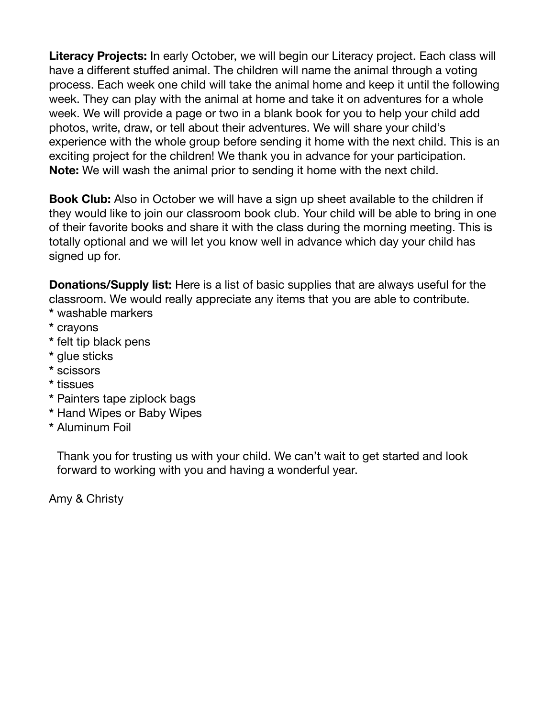**Literacy Projects:** In early October, we will begin our Literacy project. Each class will have a different stuffed animal. The children will name the animal through a voting process. Each week one child will take the animal home and keep it until the following week. They can play with the animal at home and take it on adventures for a whole week. We will provide a page or two in a blank book for you to help your child add photos, write, draw, or tell about their adventures. We will share your child's experience with the whole group before sending it home with the next child. This is an exciting project for the children! We thank you in advance for your participation. **Note:** We will wash the animal prior to sending it home with the next child.

**Book Club:** Also in October we will have a sign up sheet available to the children if they would like to join our classroom book club. Your child will be able to bring in one of their favorite books and share it with the class during the morning meeting. This is totally optional and we will let you know well in advance which day your child has signed up for.

**Donations/Supply list:** Here is a list of basic supplies that are always useful for the classroom. We would really appreciate any items that you are able to contribute.

- **\*** washable markers
- **\*** crayons
- **\*** felt tip black pens
- **\*** glue sticks
- **\*** scissors
- **\*** tissues
- **\*** Painters tape ziplock bags
- **\*** Hand Wipes or Baby Wipes
- **\*** Aluminum Foil

Thank you for trusting us with your child. We can't wait to get started and look forward to working with you and having a wonderful year.

Amy & Christy